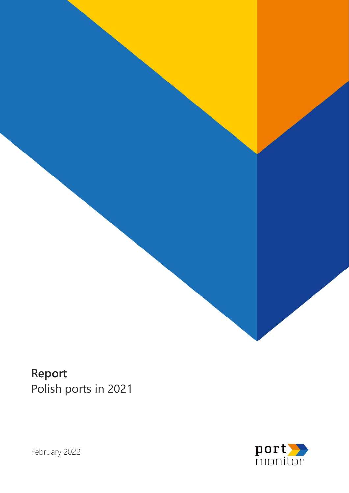

**Report** Polish ports in 2021



February 2022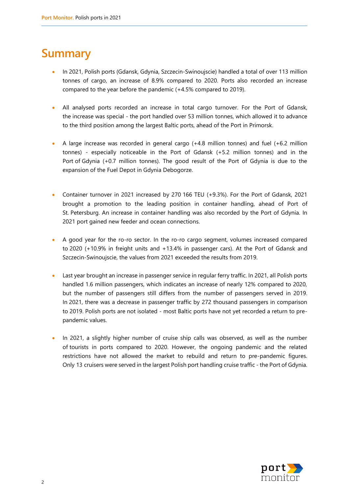### **Summary**

- In 2021, Polish ports (Gdansk, Gdynia, Szczecin-Swinoujscie) handled a total of over 113 million tonnes of cargo, an increase of 8.9% compared to 2020. Ports also recorded an increase compared to the year before the pandemic (+4.5% compared to 2019).
- All analysed ports recorded an increase in total cargo turnover. For the Port of Gdansk, the increase was special - the port handled over 53 million tonnes, which allowed it to advance to the third position among the largest Baltic ports, ahead of the Port in Primorsk.
- A large increase was recorded in general cargo (+4.8 million tonnes) and fuel (+6.2 million tonnes) - especially noticeable in the Port of Gdansk (+5.2 million tonnes) and in the Port of Gdynia (+0.7 million tonnes). The good result of the Port of Gdynia is due to the expansion of the Fuel Depot in Gdynia Debogorze.
- Container turnover in 2021 increased by 270 166 TEU (+9.3%). For the Port of Gdansk, 2021 brought a promotion to the leading position in container handling, ahead of Port of St. Petersburg. An increase in container handling was also recorded by the Port of Gdynia. In 2021 port gained new feeder and ocean connections.
- A good year for the ro-ro sector. In the ro-ro cargo segment, volumes increased compared to 2020 (+10.9% in freight units and +13.4% in passenger cars). At the Port of Gdansk and Szczecin-Swinoujscie, the values from 2021 exceeded the results from 2019.
- Last year brought an increase in passenger service in regular ferry traffic. In 2021, all Polish ports handled 1.6 million passengers, which indicates an increase of nearly 12% compared to 2020, but the number of passengers still differs from the number of passengers served in 2019. In 2021, there was a decrease in passenger traffic by 272 thousand passengers in comparison to 2019. Polish ports are not isolated - most Baltic ports have not yet recorded a return to prepandemic values.
- In 2021, a slightly higher number of cruise ship calls was observed, as well as the number of tourists in ports compared to 2020. However, the ongoing pandemic and the related restrictions have not allowed the market to rebuild and return to pre-pandemic figures. Only 13 cruisers were served in the largest Polish port handling cruise traffic - the Port of Gdynia.

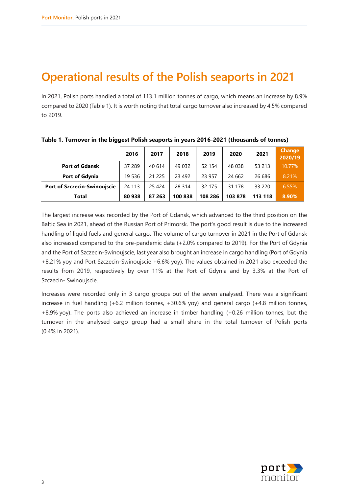## **Operational results of the Polish seaports in 2021**

In 2021, Polish ports handled a total of 113.1 million tonnes of cargo, which means an increase by 8.9% compared to 2020 (Table 1). It is worth noting that total cargo turnover also increased by 4.5% compared to 2019.

|                                     | 2016   | 2017     | 2018    | 2019    | 2020    | 2021    | <b>Change</b><br>2020/19 |
|-------------------------------------|--------|----------|---------|---------|---------|---------|--------------------------|
| <b>Port of Gdansk</b>               | 37 289 | 40 614   | 49 032  | 52 154  | 48 038  | 53 213  | 10.77%                   |
| <b>Port of Gdynia</b>               | 19 536 | 21 2 2 5 | 23 4 92 | 23 957  | 24 6 62 | 26 686  | 8.21%                    |
| <b>Port of Szczecin-Swinoujscie</b> | 24 113 | 25 4 24  | 28 3 14 | 32 175  | 31 178  | 33 2 20 | 6.55%                    |
| Total                               | 80 938 | 87 263   | 100838  | 108 286 | 103878  | 113 118 | 8.90%                    |

**Table 1. Turnover in the biggest Polish seaports in years 2016-2021 (thousands of tonnes)**

The largest increase was recorded by the Port of Gdansk, which advanced to the third position on the Baltic Sea in 2021, ahead of the Russian Port of Primorsk. The port's good result is due to the increased handling of liquid fuels and general cargo. The volume of cargo turnover in 2021 in the Port of Gdansk also increased compared to the pre-pandemic data (+2.0% compared to 2019). For the Port of Gdynia and the Port of Szczecin-Swinoujscie, last year also brought an increase in cargo handling (Port of Gdynia +8.21% yoy and Port Szczecin-Swinoujscie +6.6% yoy). The values obtained in 2021 also exceeded the results from 2019, respectively by over 11% at the Port of Gdynia and by 3.3% at the Port of Szczecin- Swinoujscie.

Increases were recorded only in 3 cargo groups out of the seven analysed. There was a significant increase in fuel handling (+6.2 million tonnes, +30.6% yoy) and general cargo (+4.8 million tonnes, +8.9% yoy). The ports also achieved an increase in timber handling (+0.26 million tonnes, but the turnover in the analysed cargo group had a small share in the total turnover of Polish ports (0.4% in 2021).

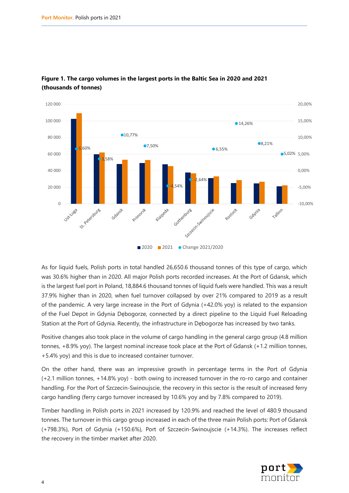

### **Figure 1. The cargo volumes in the largest ports in the Baltic Sea in 2020 and 2021 (thousands of tonnes)**

As for liquid fuels, Polish ports in total handled 26,650.6 thousand tonnes of this type of cargo, which was 30.6% higher than in 2020. All major Polish ports recorded increases. At the Port of Gdansk, which is the largest fuel port in Poland, 18,884.6 thousand tonnes of liquid fuels were handled. This was a result 37.9% higher than in 2020, when fuel turnover collapsed by over 21% compared to 2019 as a result of the pandemic. A very large increase in the Port of Gdynia (+42.0% yoy) is related to the expansion of the Fuel Depot in Gdynia Dębogorze, connected by a direct pipeline to the Liquid Fuel Reloading Station at the Port of Gdynia. Recently, the infrastructure in Dębogorze has increased by two tanks.

Positive changes also took place in the volume of cargo handling in the general cargo group (4.8 million tonnes, +8.9% yoy). The largest nominal increase took place at the Port of Gdansk (+1.2 million tonnes, +5.4% yoy) and this is due to increased container turnover.

On the other hand, there was an impressive growth in percentage terms in the Port of Gdynia (+2.1 million tonnes, +14.8% yoy) - both owing to increased turnover in the ro-ro cargo and container handling. For the Port of Szczecin-Swinoujscie, the recovery in this sector is the result of increased ferry cargo handling (ferry cargo turnover increased by 10.6% yoy and by 7.8% compared to 2019).

Timber handling in Polish ports in 2021 increased by 120.9% and reached the level of 480.9 thousand tonnes. The turnover in this cargo group increased in each of the three main Polish ports: Port of Gdansk (+798.3%), Port of Gdynia (+150.6%), Port of Szczecin-Swinoujscie (+14.3%). The increases reflect the recovery in the timber market after 2020.

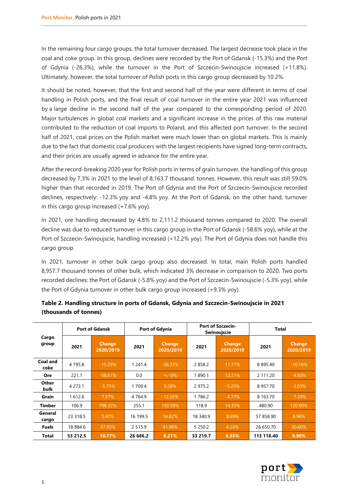In the remaining four cargo groups, the total turnover decreased. The largest decrease took place in the coal and coke group. In this group, declines were recorded by the Port of Gdansk (-15.3%) and the Port of Gdynia (-26.3%), while the turnover in the Port of Szczecin-Swinoujscie increased (+11.8%). Ultimately, however, the total turnover of Polish ports in this cargo group decreased by 10.2%.

It should be noted, however, that the first and second half of the year were different in terms of coal handling in Polish ports, and the final result of coal turnover in the entire year 2021 was influenced by a large decline in the second half of the year compared to the corresponding period of 2020. Major turbulences in global coal markets and a significant increase in the prices of this raw material contributed to the reduction of coal imports to Poland, and this affected port turnover. In the second half of 2021, coal prices on the Polish market were much lower than on global markets. This is mainly due to the fact that domestic coal producers with the largest recipients have signed long-term contracts, and their prices are usually agreed in advance for the entire year.

After the record-breaking 2020 year for Polish ports in terms of grain turnover, the handling of this group decreased by 7.3% in 2021 to the level of 8,163.7 thousand. tonnes. However, this result was still 59.0% higher than that recorded in 2019. The Port of Gdynia and the Port of Szczecin-Swinoujscie recorded declines, respectively: -12.3% yoy and -4.8% yoy. At the Port of Gdansk, on the other hand, turnover in this cargo group increased (+7.6% yoy).

In 2021, ore handling decreased by 4.8% to 2,111.2 thousand tonnes compared to 2020. The overall decline was due to reduced turnover in this cargo group in the Port of Gdansk (-58.6% yoy), while at the Port of Szczecin-Swinoujscie, handling increased (+12.2% yoy). The Port of Gdynia does not handle this cargo group.

In 2021, turnover in other bulk cargo group also decreased. In total, main Polish ports handled 8,957.7 thousand tonnes of other bulk, which indicated 3% decrease in comparison to 2020. Two ports recorded declines: the Port of Gdansk (-5.8% yoy) and the Port of Szczecin-Swinoujscie (-5.3% yoy), while the Port of Gdynia turnover in other bulk cargo group increased (+9.3% yoy).

| Cargo<br>group       | <b>Port of Gdansk</b> |                            | Port of Gdynia |                            | <b>Port of Szczecin-</b><br><b>Swinoujscie</b> |                            | <b>Total</b> |                            |
|----------------------|-----------------------|----------------------------|----------------|----------------------------|------------------------------------------------|----------------------------|--------------|----------------------------|
|                      | 2021                  | <b>Change</b><br>2020/2019 | 2021           | <b>Change</b><br>2020/2019 | 2021                                           | <b>Change</b><br>2020/2019 | 2021         | <b>Change</b><br>2020/2019 |
| Coal and<br>coke     | 4795.8                | $-15.25%$                  | 1 241.4        | $-26.33%$                  | 2858.2                                         | 11.77%                     | 8 8 9 5 4 0  | $-10.16%$                  |
| Ore                  | 221.1                 | $-58.61%$                  | 0.0            | $+/-0%$                    | 1890.1                                         | 12.21%                     | 2 111.20     | $-4.85%$                   |
| Other<br><b>bulk</b> | 4 2 7 3 .1            | $-5.75%$                   | 1 709.4        | 9.28%                      | 2975.2                                         | $-5.25%$                   | 8957.70      | $-3.03%$                   |
| Grain                | 1612.6                | 7.57%                      | 4 7 6 4 9      | $-12.26%$                  | 1786.2                                         | $-4.77\%$                  | 8 163.70     | $-7.29%$                   |
| Timber               | 106.9                 | 798.32%                    | 255.1          | 150.59%                    | 118.9                                          | 14.33%                     | 480.90       | 120.90%                    |
| General<br>cargo     | 23 318.5              | 5.47%                      | 16 199.5       | 14.82%                     | 18 340.9                                       | 8.69%                      | 57 858.90    | 8.98%                      |
| <b>Fuels</b>         | 18 884.6              | 37.93%                     | 2 5 1 5 9      | 41.96%                     | 5 2 5 0 . 2                                    | 6.24%                      | 26 650.70    | 30.60%                     |
| Total                | 53 212.5              | 10.77%                     | 26 686.2       | 8.21%                      | 33 219.7                                       | 6.55%                      | 113 118.40   | 8.90%                      |

#### **Table 2. Handling structure in ports of Gdansk, Gdynia and Szczecin-Swinoujscie in 2021 (thousands of tonnes)**

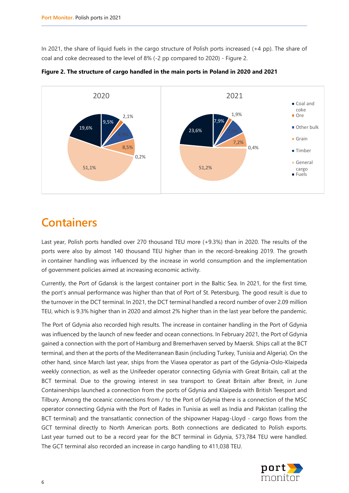In 2021, the share of liquid fuels in the cargo structure of Polish ports increased (+4 pp). The share of coal and coke decreased to the level of 8% (-2 pp compared to 2020) - Figure 2.



**Figure 2. The structure of cargo handled in the main ports in Poland in 2020 and 2021**

### **Containers**

Last year, Polish ports handled over 270 thousand TEU more (+9.3%) than in 2020. The results of the ports were also by almost 140 thousand TEU higher than in the record-breaking 2019. The growth in container handling was influenced by the increase in world consumption and the implementation of government policies aimed at increasing economic activity.

Currently, the Port of Gdansk is the largest container port in the Baltic Sea. In 2021, for the first time, the port's annual performance was higher than that of Port of St. Petersburg. The good result is due to the turnover in the DCT terminal. In 2021, the DCT terminal handled a record number of over 2.09 million TEU, which is 9.3% higher than in 2020 and almost 2% higher than in the last year before the pandemic.

The Port of Gdynia also recorded high results. The increase in container handling in the Port of Gdynia was influenced by the launch of new feeder and ocean connections. In February 2021, the Port of Gdynia gained a connection with the port of Hamburg and Bremerhaven served by Maersk. Ships call at the BCT terminal, and then at the ports of the Mediterranean Basin (including Turkey, Tunisia and Algeria). On the other hand, since March last year, ships from the Viasea operator as part of the Gdynia-Oslo-Klaipeda weekly connection, as well as the Unifeeder operator connecting Gdynia with Great Britain, call at the BCT terminal. Due to the growing interest in sea transport to Great Britain after Brexit, in June Containerships launched a connection from the ports of Gdynia and Klaipeda with British Teesport and Tilbury. Among the oceanic connections from / to the Port of Gdynia there is a connection of the MSC operator connecting Gdynia with the Port of Rades in Tunisia as well as India and Pakistan (calling the BCT terminal) and the transatlantic connection of the shipowner Hapag-Lloyd - cargo flows from the GCT terminal directly to North American ports. Both connections are dedicated to Polish exports. Last year turned out to be a record year for the BCT terminal in Gdynia, 573,784 TEU were handled. The GCT terminal also recorded an increase in cargo handling to 411,038 TEU.

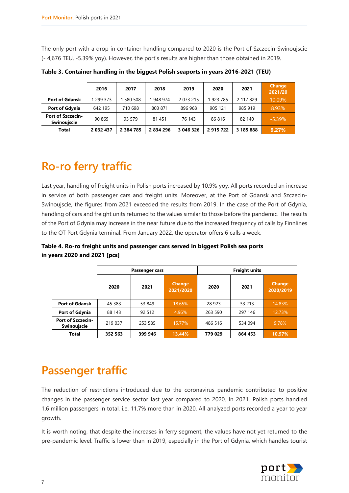The only port with a drop in container handling compared to 2020 is the Port of Szczecin-Swinoujscie (- 4,676 TEU, -5.39% yoy). However, the port's results are higher than those obtained in 2019.

|                                                | 2016      | 2017          | 2018      | 2019      | 2020      | 2021      | <b>Change</b><br>2021/20 |
|------------------------------------------------|-----------|---------------|-----------|-----------|-----------|-----------|--------------------------|
| <b>Port of Gdansk</b>                          | 299 373   | 1 580 508     | 1 948 974 | 2 073 215 | 923 785   | 2 117 829 | 10.09%                   |
| <b>Port of Gdynia</b>                          | 642 195   | 710 698       | 803 871   | 896 968   | 905 121   | 985 919   | 8.93%                    |
| <b>Port of Szczecin-</b><br><b>Swinouiscie</b> | 90 869    | 93 579        | 81 451    | 76 143    | 86816     | 82 140    | $-5.39%$                 |
| <b>Total</b>                                   | 2 032 437 | 2 3 8 4 7 8 5 | 2 834 296 | 3 046 326 | 2 915 722 | 3 185 888 | 9.27%                    |

**Table 3. Container handling in the biggest Polish seaports in years 2016-2021 (TEU)**

# **Ro-ro ferry traffic**

Last year, handling of freight units in Polish ports increased by 10.9% yoy. All ports recorded an increase in service of both passenger cars and freight units. Moreover, at the Port of Gdansk and Szczecin-Swinoujscie, the figures from 2021 exceeded the results from 2019. In the case of the Port of Gdynia, handling of cars and freight units returned to the values similar to those before the pandemic. The results of the Port of Gdynia may increase in the near future due to the increased frequency of calls by Finnlines to the OT Port Gdynia terminal. From January 2022, the operator offers 6 calls a week.

|                                                |         | Passenger cars |                            | <b>Freight units</b> |         |                            |  |
|------------------------------------------------|---------|----------------|----------------------------|----------------------|---------|----------------------------|--|
|                                                | 2020    | 2021           | <b>Change</b><br>2021/2020 | 2020                 | 2021    | <b>Change</b><br>2020/2019 |  |
| <b>Port of Gdansk</b>                          | 45 383  | 53 849         | 18.65%                     | 28 923               | 33 213  | 14.83%                     |  |
| Port of Gdynia                                 | 88 143  | 92 512         | 4.96%                      | 263 590              | 297 146 | 12.73%                     |  |
| <b>Port of Szczecin-</b><br><b>Swinoujscie</b> | 219 037 | 253 585        | 15.77%                     | 486 516              | 534 094 | 9.78%                      |  |
| <b>Total</b>                                   | 352 563 | 399 946        | 13.44%                     | 779 029              | 864 453 | 10.97%                     |  |

**Table 4. Ro-ro freight units and passenger cars served in biggest Polish sea ports in years 2020 and 2021 [pcs]**

## **Passenger traffic**

The reduction of restrictions introduced due to the coronavirus pandemic contributed to positive changes in the passenger service sector last year compared to 2020. In 2021, Polish ports handled 1.6 million passengers in total, i.e. 11.7% more than in 2020. All analyzed ports recorded a year to year growth.

It is worth noting, that despite the increases in ferry segment, the values have not yet returned to the pre-pandemic level. Traffic is lower than in 2019, especially in the Port of Gdynia, which handles tourist

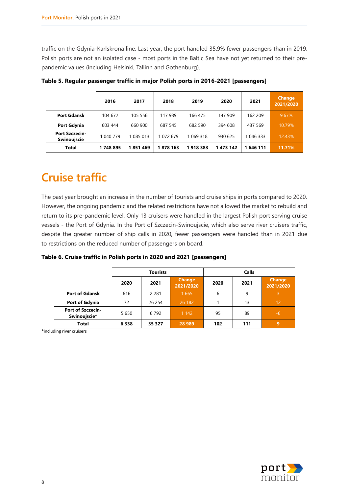traffic on the Gdynia-Karlskrona line. Last year, the port handled 35.9% fewer passengers than in 2019. Polish ports are not an isolated case - most ports in the Baltic Sea have not yet returned to their prepandemic values (including Helsinki, Tallinn and Gothenburg).

|                                      | 2016      | 2017      | 2018     | 2019      | 2020      | 2021      | <b>Change</b><br>2021/2020 |
|--------------------------------------|-----------|-----------|----------|-----------|-----------|-----------|----------------------------|
| <b>Port Gdansk</b>                   | 104 672   | 105 556   | 117 939  | 166 475   | 147 909   | 162 209   | 9.67%                      |
| <b>Port Gdynia</b>                   | 603 444   | 660 900   | 687 545  | 682 590   | 394 608   | 437 569   | 10.79%                     |
| <b>Port Szczecin-</b><br>Swinouiscie | 1 040 779 | 1 085 013 | 072 679  | 1 069 318 | 930 625   | 1 046 333 | 12.43%                     |
| Total                                | 1748895   | 1851469   | 1878 163 | 1918383   | 1 473 142 | 646 111   | 11.71%                     |

**Table 5. Regular passenger traffic in major Polish ports in 2016-2021 [passengers]**

# **Cruise traffic**

The past year brought an increase in the number of tourists and cruise ships in ports compared to 2020. However, the ongoing pandemic and the related restrictions have not allowed the market to rebuild and return to its pre-pandemic level. Only 13 cruisers were handled in the largest Polish port serving cruise vessels - the Port of Gdynia. In the Port of Szczecin-Swinoujscie, which also serve river cruisers traffic, despite the greater number of ship calls in 2020, fewer passengers were handled than in 2021 due to restrictions on the reduced number of passengers on board.

**Table 6. Cruise traffic in Polish ports in 2020 and 2021 [passengers]**

|                                          |         | <b>Tourists</b> |                            | <b>Calls</b> |      |                            |  |
|------------------------------------------|---------|-----------------|----------------------------|--------------|------|----------------------------|--|
|                                          | 2020    | 2021            | <b>Change</b><br>2021/2020 | 2020         | 2021 | <b>Change</b><br>2021/2020 |  |
| <b>Port of Gdansk</b>                    | 616     | 2 2 8 1         | 1 6 6 5                    | 6            | 9    | 3                          |  |
| Port of Gdynia                           | 72      | 26 254          | 26 182                     |              | 13   | 12                         |  |
| <b>Port of Szczecin-</b><br>Swinoujscie* | 5 6 5 0 | 6 7 9 2         | 1 1 4 2                    | 95           | 89   | $-6$                       |  |
| <b>Total</b>                             | 6338    | 35 3 27         | 28 9 89                    | 102          | 111  | 9                          |  |

\*including river cruisers